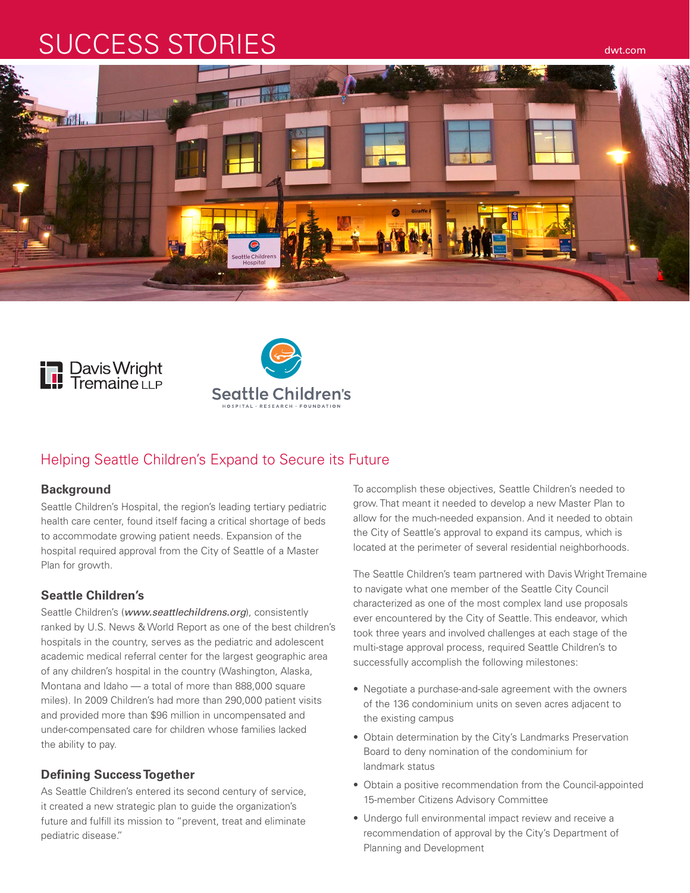# SUCCESS STORIES DESCRIPTION OF THE SECOND AWARDEN







ttle Childre

# Helping Seattle Children's Expand to Secure its Future

#### **Background**

Seattle Children's Hospital, the region's leading tertiary pediatric health care center, found itself facing a critical shortage of beds to accommodate growing patient needs. Expansion of the hospital required approval from the City of Seattle of a Master Plan for growth.

#### **Seattle Children's**

Seattle Children's (*www.seattlechildrens.org*), consistently ranked by U.S. News & World Report as one of the best children's hospitals in the country, serves as the pediatric and adolescent academic medical referral center for the largest geographic area of any children's hospital in the country (Washington, Alaska, Montana and Idaho — a total of more than 888,000 square miles). In 2009 Children's had more than 290,000 patient visits and provided more than \$96 million in uncompensated and under-compensated care for children whose families lacked the ability to pay.

## **Defining Success Together**

As Seattle Children's entered its second century of service, it created a new strategic plan to guide the organization's future and fulfill its mission to "prevent, treat and eliminate pediatric disease."

To accomplish these objectives, Seattle Children's needed to grow. That meant it needed to develop a new Master Plan to allow for the much-needed expansion. And it needed to obtain the City of Seattle's approval to expand its campus, which is located at the perimeter of several residential neighborhoods.

The Seattle Children's team partnered with Davis Wright Tremaine to navigate what one member of the Seattle City Council characterized as one of the most complex land use proposals ever encountered by the City of Seattle. This endeavor, which took three years and involved challenges at each stage of the multi-stage approval process, required Seattle Children's to successfully accomplish the following milestones:

- • Negotiate a purchase-and-sale agreement with the owners of the 136 condominium units on seven acres adjacent to the existing campus
- Obtain determination by the City's Landmarks Preservation Board to deny nomination of the condominium for landmark status
- Obtain a positive recommendation from the Council-appointed 15-member Citizens Advisory Committee
- Undergo full environmental impact review and receive a recommendation of approval by the City's Department of Planning and Development